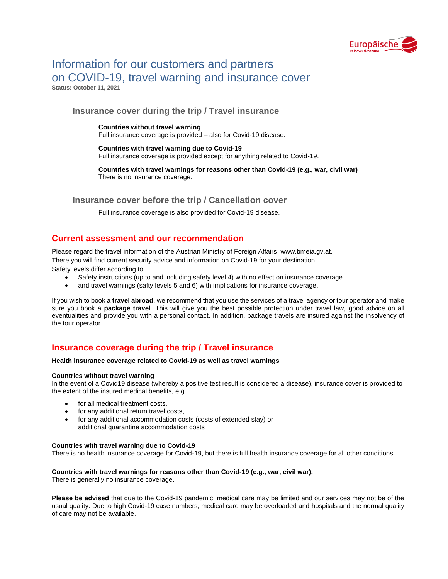

# Information for our customers and partners on COVID-19, travel warning and insurance cover **Status: October 11, 2021**

**Insurance cover during the trip / Travel insurance** 

**Countries without travel warning**  Full insurance coverage is provided – also for Covid-19 disease.

**Countries with travel warning due to Covid-19** Full insurance coverage is provided except for anything related to Covid-19.

**Countries with travel warnings for reasons other than Covid-19 (e.g., war, civil war)** There is no insurance coverage.

**Insurance cover before the trip / Cancellation cover**

Full insurance coverage is also provided for Covid-19 disease.

### **Current assessment and our recommendation**

Please regard the travel information of the Austrian Ministry of Foreign Affairs [www.bmeia.gv.at.](http://www.bmeia.gv.at/)

There you will find current security advice and information on Covid-19 for your destination.

Safety levels differ according to

- Safety instructions (up to and including safety level 4) with no effect on insurance coverage
- and travel warnings (safty levels 5 and 6) with implications for insurance coverage.

If you wish to book a **travel abroad**, we recommend that you use the services of a travel agency or tour operator and make sure you book a **package travel**. This will give you the best possible protection under travel law, good advice on all eventualities and provide you with a personal contact. In addition, package travels are insured against the insolvency of the tour operator.

### **Insurance coverage during the trip / Travel insurance**

**Health insurance coverage related to Covid-19 as well as travel warnings**

#### **Countries without travel warning**

In the event of a Covid19 disease (whereby a positive test result is considered a disease), insurance cover is provided to the extent of the insured medical benefits, e.g.

- for all medical treatment costs.
- for any additional return travel costs,
- for any additional accommodation costs (costs of extended stay) or additional quarantine accommodation costs

#### **Countries with travel warning due to Covid-19**

There is no health insurance coverage for Covid-19, but there is full health insurance coverage for all other conditions.

#### **Countries with travel warnings for reasons other than Covid-19 (e.g., war, civil war).**

There is generally no insurance coverage.

**Please be advised** that due to the Covid-19 pandemic, medical care may be limited and our services may not be of the usual quality. Due to high Covid-19 case numbers, medical care may be overloaded and hospitals and the normal quality of care may not be available.